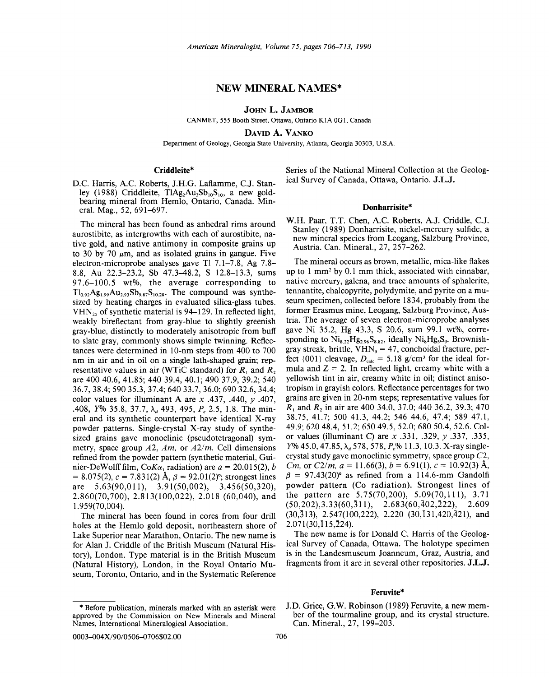# NEW **MINERAL** NAMES\*

JOHN L. JAMBOR

CANMET, 555 Booth Street, Ottawa, Ontario KIA OGI, Canada

DAVID A. VANKO

Department of Geology, Georgia State University, Atlanta, Georgia 30303, U.S.A.

# Criddleite\*

D.C. Harris, A.C. Roberts, J.H.G. Laflamme, C.J. Stanley (1988) Criddleite,  $T \text{IAg}_2 \text{Au}_3 \text{Sb}_{10}$ , a new goldbearing mineral from Hemlo, Ontario, Canada. Mineral. Mag., 52,691-697.

The mineral has been found as anhedral rims around aurostibite, as intergrowths with each of aurostibite, native gold, and native antimony in composite grains up to 30 by 70  $\mu$ m, and as isolated grains in gangue. Five electron-microprobe analyses gave Tl 7.1-7.8, Ag 7.8- 8.8, Au 22.3-23.2, Sb 47.3-48.2, S 12.8-13.3, sums 97.6-100.5 wt%, the average corresponding to  $Tl_{0.92}Ag_{1.99}Au_{2.93}Sb_{9.87}S_{10.28}$ . The compound was synthesized by heating charges in evaluated silica-glass tubes.  $VHN<sub>25</sub>$  of synthetic material is 94–129. In reflected light, weakly bireflectant from gray-blue to slightly greenish gray-blue, distinctly to moderately anisotropic from buff to slate gray, commonly shows simple twinning. Reflectances were determined in lO-nm steps from 400 to 700 nm in air and in oil on a single lath-shaped grain; representative values in air (WTiC standard) for  $R_1$  and  $R_2$ are 400 40.6, 41.85; 44039.4,40.1; 490 37.9, 39.2; 540 36.7,38.4; 590 35.3, 37.4; 640 33.7, 36.0; 69032.6,34.4; color values for illuminant A are *x* .437, .440, *y .407, .*408, *Y*% 35.8, 37.7, λ<sub>α</sub> 493, 495, *P<sub>e</sub>* 2.5, 1.8. The mineral and its synthetic counterpart have identical X-ray powder patterns. Single-crystal X-ray study of synthesized grains gave monoclinic (pseudotetragonal) symmetry, space group *A2, Am,* or *A2/m.* Cell dimensions refined from the powder pattern (synthetic material, Guinier-DeWolff film,  $C_0K_{\alpha_1}$  radiation) are  $a = 20.015(2)$ , *b*  $= 8.075(2), c = 7.831(2)$  Å,  $\beta = 92.01(2)$ °; strongest lines are 5.63(90,011), 3.91(50,002), 3.456(50,320), 2.860(70,700),2.813(100,022),2.018 (60,040), and 1.959(70,004).

The mineral has been found in cores from four drill holes at the Hemlo gold deposit, northeastern shore of Lake Superior near Marathon, Ontario. The new name is for Alan J. Criddle of the British Museum (Natural History), London. Type material is in the British Museum (Natural History), London, in the Royal Ontario Museum, Toronto, Ontario, and in the Systematic Reference

Series of the National Mineral Collection at the Geological Survey of Canada, Ottawa, Ontario. J.L.J.

## Donharrisite\*

W.H. Paar, T.T. Chen, A.C. Roberts, A.J. Criddle, C.J. Stanley (1989) Donharrisite, nickel-mercury sulfide, a new mineral species from Leogang, Salzburg Province, Austria. Can. Mineral., 27, 257-262.

The mineral occurs as brown, metallic, mica-like flakes up to 1 mm2 by 0.1 mm thick, associated with cinnabar, native mercury, galena, and trace amounts of sphalerite, tennantite, chalcopyrite, polydymite, and pyrite on a museum specimen, collected before 1834, probably from the former Erasmus mine, Leogang, Salzburg Province, Austria. The average of seven electron-microprobe analyses gave Ni 35.2, Hg 43.3, S 20.6, sum 99.1 wt%, corresponding to  $Ni_{8.22}Hg_{2.96}S_{8.82}$ , ideally  $Ni_8Hg_3S_9$ . Brownishgray streak, brittle,  $VHN<sub>5</sub> = 47$ , conchoidal fracture, perfect {001} cleavage,  $D_{\text{calc}} = 5.18$  g/cm<sup>3</sup> for the ideal formula and  $Z = 2$ . In reflected light, creamy white with a yellowish tint in air, creamy white in oil; distinct anisotropism in grayish colors. Reflectance percentages for two grains are given in 20-nm steps; representative values for Rl and *R2* in air are 400 34.0, 37.0; 440 36.2, 39.3; 470 38.75, 41.7; 500 41.3, 44.2; 546 44.6, 47.4; 589 47.1, 49.9; 620 48.4, 51.2; 650 49.5,52.0; 680 50.4, 52.6. Color values (illuminant C) are *x* .331, .329, *y* .337, .335, *Y*% 45.0, 47.85, λ<sub>α</sub> 578, 578, *P<sub>a</sub>*% 11.3, 10.3. X-ray singlecrystal study gave monoclinic symmetry, space group *C2, Cm*, or *C2/m*,  $a = 11.66(3)$ ,  $b = 6.91(1)$ ,  $c = 10.92(3)$  Å,  $\beta$  = 97.43(20)° as refined from a 114.6-mm Gandolfi powder pattern (Co radiation). Strongest lines of the pattern are 5.75(70,200), 5.09(70,111), 3.71  $(50,202),3.33(60,311), 2.683(60,402,222), 2.609$ (30,313), 2.547(100,222), 2.220 (30,131,420,421), and 2.071 (30, 115,224).

The new name is for Donald C. Harris of the Geological Survey of Canada, Ottawa. The holotype specimen is in the Landesmuseum Joanneum, Graz, Austria, and fragments from it are in several other repositories. J.L.J.

# Feruvite\*

<sup>\*</sup> Before publication, minerals marked with an asterisk were approved by the Commission on New Minerals and Mineral Names, International Mineralogical Association.

J.D. Grice, G.W. Robinson (1989) Feruvite, a new member of the tourmaline group, and its crystal structure. Can. Mineral., 27, 199-203.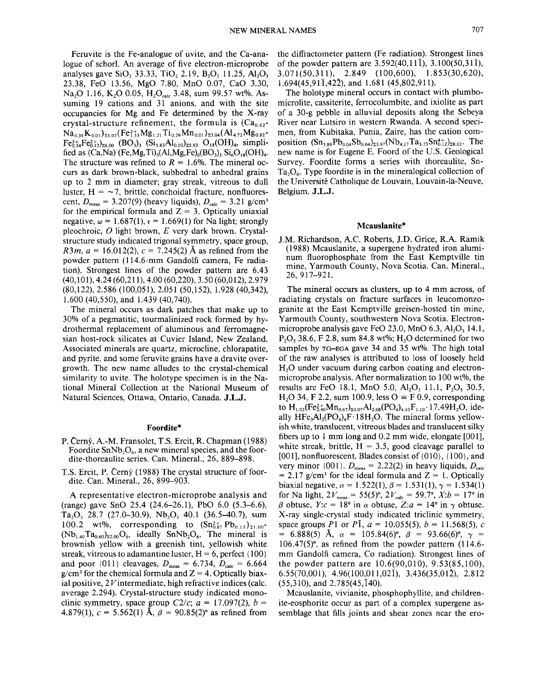Feruvite is the Fe-analogue of uvite, and the Ca-analogue of schor!. An average of five electron-microprobe analyses gave SiO<sub>2</sub> 33.33, TiO<sub>2</sub> 2.19, B<sub>2</sub>O<sub>3</sub> 11.25, Al<sub>2</sub>O<sub>3</sub> 23.38, FeO 13.56, MgO 7.80, MnO 0.07, CaO 3.30, Na<sub>2</sub>O 1.16, K<sub>2</sub>O 0.05, H<sub>2</sub>O<sub>cale</sub> 3.48, sum 99.57 wt%. Assuming 19 cations and 31 anions, and with the site occupancies for Mg and Fe determined by the X-ray crystal-structure refinement, the formula is  $(Ca_{0.62}$ - $Na_{0.39}K_{0.01}$ <sub>21.02</sub>(Fe<sub>1.53</sub>Mg<sub>1.21</sub>Ti<sub>0.29</sub>Mn<sub>0.01</sub>)<sub>23.04</sub>(Al<sub>4.72</sub>Mg<sub>0.82</sub>- $Fe_{0.34}^{3+}Fe_{0.12}^{2+}$ <sub>26.00</sub> (BO<sub>3</sub>)<sub>3</sub> (Si<sub>5.83</sub>Al<sub>0.10</sub>)<sub>25.93</sub> O<sub>18</sub>(OH)<sub>4</sub>, simplified as  $(Ca,Na)$   $(Fe,Mg,Ti)$ <sub>3</sub> $(Al,Mg,Fe)$ <sub>6</sub> $(BO_3)$ <sub>3</sub> $Si<sub>6</sub>O<sub>18</sub>(OH)<sub>4</sub>$ . The structure was refined to  $R = 1.6\%$ . The mineral occurs as dark brown-black, subhedral to anhedral grains up to 2 mm in diameter; gray streak, vitreous to dull luster,  $H = -7$ , brittle, conchoidal fracture, nonfluorescent,  $D_{\text{meas}} = 3.207(9)$  (heavy liquids),  $D_{\text{calc}} = 3.21 \text{ g/cm}^3$ for the empirical formula and  $Z = 3$ . Optically uniaxial negative,  $\omega = 1.687(1)$ ,  $\epsilon = 1.669(1)$  for Na light; strongly pleochroic, 0 light brown, *E* very dark brown. Crystalstructure study indicated trigonal symmetry, space group, *R3m,*  $a = 16.012(2)$ ,  $c = 7.245(2)$  Å as refined from the powder pattern (114.6-mm Gandolfi camera, Fe radiation). Strongest lines of the powder pattern are 6.43 (40,101),4.24 (60,211), 4.00 (60,220),3.50 (60,012), 2.979 (80,122),2.586 (100,051), 2.051 (50,152), 1.928 (40,342), 1.600 (40,550), and 1.439 (40,740).

The mineral occurs as dark patches that make up to 30% of a pegmatitic, tourmalinized rock formed by hydrothermal replacement of aluminous and ferromagnesian host-rock silicates at Cuvier Island, New Zealand. Associated minerals are quartz, microcline, chlorapatite, and pyrite, and some feruvite grains have a dravite overgrowth. The new name alludes to the crystal-chemical similarity to uvite. The holotype specimen is in the National Mineral Collection at the National Museum of Natural Sciences, Ottawa, Ontario, Canada. **J.L.J.**

### **Foordite\***

- P. Cerny, A.-M. Fransolet, T.S. Ercit, R. Chapman (1988) Foordite  $SnNb<sub>2</sub>O<sub>6</sub>$ , a new mineral species, and the foordite-thoreaulite series. Can. Mineral., 26, 889-898.
- T.S. Ercit, P. Cerny (1988) The crystal structure of foordite. Can. Mineral., 26, 899-903.

A representative electron-microprobe analysis and (range) gave SnO 25.4 (24.6-26.1), PbO 6.0 (5.3-6.6),  $Ta_2O$ , 28.7 (27.0–30.9),  $Nb_2O$ , 40.1 (36.5–40.7), sum 100.2 wt%, corresponding to  $(Sn_{0.87}^{2+} Pb_{0.13})_{\Sigma1.00}$ - $(Nb<sub>1.40</sub>Ta<sub>0.60</sub>)<sub>22.00</sub>O<sub>6</sub>$ , ideally SnNb<sub>2</sub>O<sub>6</sub>. The mineral is brownish yellow with a greenish tint, yellowish white streak, vitreous to adamantine luster,  $H = 6$ , perfect {100} and poor  $\{011\}$  cleavages,  $D_{\text{meas}} = 6.734$ ,  $D_{\text{calc}} = 6.664$  $g/cm<sup>3</sup>$  for the chemical formula and  $Z = 4$ . Optically biaxial positive, 2V intermediate, high refractive indices (calc. average 2.294). Crystal-structure study indicated monoclinic symmetry, space group  $C2/c$ ;  $a = 17.097(2)$ ,  $b =$ 4.879(1),  $c = 5.562(1)$  Å,  $\beta = 90.85(2)$ ° as refined from the diffractometer pattern (Fe radiation). Strongest lines of the powder pattern are  $3.592(40, 11\bar{1})$ ,  $3.100(50, 31\bar{1})$ , 3.071(50,311),2.849 (100,600),1.853(30,620), 1.694(45,9II,422), and 1.681 (45,802,911).

The holotype mineral occurs in contact with plumbomicrolite, cassiterite, ferrocolumbite, and ixiolite as part of a 30-g pebble in alluvial deposits along the Sebeya River near Lutsiro in western Rwanda. A second specimen, from Kubitaka, Punia, Zaire, has the cation composition  $(Sn_{3.89}Pb_{0.04}Sb_{0.04})_{23.97}(Nb_{4.17}Ta_{3.73}Sn_{0.12}^{4+})_{28.02}$ . The new name is for Eugene E. Foord of the U.S. Geological Survey. Foordite forms a series with thoreaulite, Sn- $Ta_2O_6$ . Type foordite is in the mineralogical collection of the Universite Catholique de Louvain, Louvain-Ia-Neuve, Belgium. **J.L.J.**

#### **Mcauslanite\***

J.M. Richardson, A.c. Roberts, J.D. Grice, R.A. Ramik (1988) Mcauslanite, a supergene hydrated iron aluminum fluorophosphate from the East Kemptville tin mine, Yarmouth County, Nova Scotia. Can. Mineral., 26, 917-921.

The mineral occurs as clusters, up to 4 mm across, of radiating crystals on fracture surfaces in leucomonzogranite at the East Kemptville greisen-hosted tin mine, Yarmouth County, southwestern Nova Scotia. Electronmicroprobe analysis gave FeO 23.0, MnO  $6.3$ , Al<sub>2</sub>O<sub>3</sub> 14.1,  $P_2O_5$ , 38.6, F 2.8, sum 84.8 wt%; H<sub>2</sub>O determined for two samples by  $TG$ -EGA gave 34 and 35 wt%. The high total of the raw analyses is attributed to loss of loosely held H<sub>2</sub>O under vacuum during carbon coating and electronmicroprobe analysis. After normalization to 100 wt%, the results are FeO 18.1, MnO 5.0, Al<sub>2</sub>O<sub>3</sub> 11.1, P<sub>2</sub>O<sub>3</sub> 30.5, H<sub>2</sub>O 34, F 2.2, sum 100.9, less  $O \equiv F$  0.9, corresponding to  $H_{1.02}(Fe_{2.40}^{2+}Mn_{0.67})_{23.07}Al_{2.08}(PO_4)_{4.10}F_{1.10}$  .17.49H<sub>2</sub>O, ideally  $HFe<sub>3</sub>Al<sub>2</sub>(PO<sub>4</sub>)<sub>4</sub>F·18H<sub>2</sub>O$ . The mineral forms yellowish white, translucent, vitreous blades and translucent silky fibers up to 1 mm long and 0.2 mm wide, elongate [001], white streak, brittle,  $H = 3.5$ , good cleavage parallel to [001], nonfluorescent. Blades consist of {010}, {100}, and very minor  $\{001\}$ .  $D_{\text{meas}} = 2.22(2)$  in heavy liquids,  $D_{\text{calc}}$  $= 2.17$  g/cm<sup>3</sup> for the ideal formula and  $Z = 1$ . Optically biaxial negative,  $\alpha = 1.522(1), \beta = 1.531(1), \gamma = 1.534(1)$ for Na light,  $2V_{\text{meas}} = 55(5)^\circ$ ,  $2V_{\text{calc}} = 59.7^\circ$ ,  $X:b = 17^\circ$  in  $\beta$  obtuse,  $Y:c = 18^\circ$  in  $\alpha$  obtuse,  $Z:a = 14^\circ$  in  $\gamma$  obtuse. X-ray single-crystal study indicated triclinic symmetry, space groups *P*1 or *PI*,  $a = 10.055(5)$ ,  $b = 11.568(5)$ , c  $= 6.888(5)$  Å,  $\alpha = 105.84(6)$ °,  $\beta = 93.66(6)$ °,  $\gamma =$ 106.47(5)°, as refined from the powder pattern (114.6 mm Gandolfi camera, Co radiation). Strongest lines of the powder pattern are 10.6(90,010), 9.53(85,100), 6.55(70,001), 4.96(100,011,021), 3.436(35,012), 2.812  $(55,310)$ , and  $2.785(45,140)$ .

Mcauslanite, vivianite, phosphophyllite, and childrenite-eosphorite occur as part of a complex supergene assemblage that fills joints and shear zones near the ero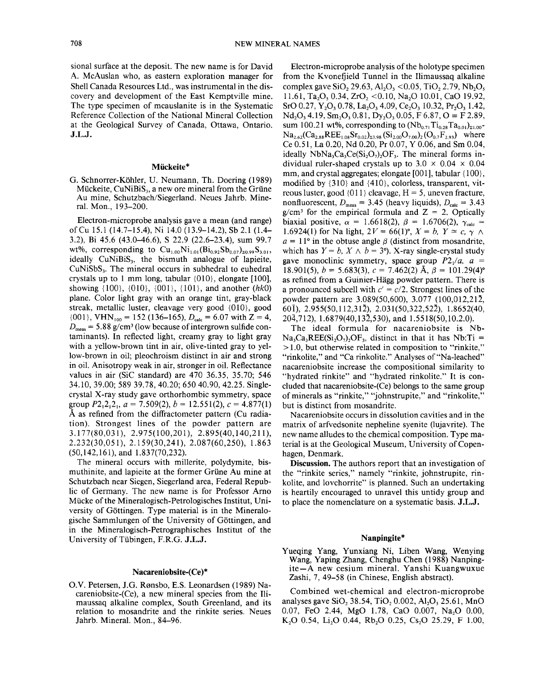sional surface at the deposit. The new name is for David A. McAuslan who, as eastern exploration manager for Shell Canada Resources Ltd., was instrumental in the discovery and development of the East Kemptville mine. The type specimen of mcauslanite is in the Systematic Reference Collection of the National Mineral Collection at the Geological Survey of Canada, Ottawa, Ontario. J.L.J.

### Miickeite\*

G. Schnorrer-Kohler, U. Neumann, Th. Doering (1989) Mückeite,  $CuNiBiS<sub>3</sub>$ , a new ore mineral from the Grüne Au mine, Schutzbach/Siegerland. Neues Jahrb. Mineral. Mon., 193-200.

Electron-microprobe analysis gave a mean (and range) ofCu 15.1 (14.7-15.4), Ni 14.0 (13.9-14.2), Sb 2.1 (1.4- 3.2), Bi 45.6 (43.0-46.6), S 22.9 (22.6-23.4), sum 99.7 wt%, corresponding to  $Cu_{1,00}Ni_{1,01}(Bi_{0.92}Sb_{0.07})_{z0.99}S_{3.01}$ , ideally  $CuNiBiS<sub>3</sub>$ , the bismuth analogue of lapieite, CuNiSbS<sub>3</sub>. The mineral occurs in subhedral to euhedral crystals up to 1 mm long, tabular  $\{010\}$ , elongate  $[100]$ , showing {l00}, {01O}, {001}, {l01}, and another *(hkO)* plane. Color light gray with an orange tint, gray-black streak, metallic luster, cleavage very good {01O}, good  ${001}$ , VHN<sub>100</sub> = 152 (136–165),  $D_{\text{calc}} = 6.07$  with Z = 4,  $D_{\text{meas}} = 5.88 \text{ g/cm}^3$  (low because of intergrown sulfide contaminants). In reflected light, creamy gray to light gray with a yellow-brown tint in air, olive-tinted gray to yellow-brown in oil; pleochroism distinct in air and strong in oil. Anisotropy weak in air, stronger in oil. Reflectance values in air (SiC standard) are 470 36.35, 35.70; 546 34.10,39.00; 589 39.78, 40.20; 65040.90,42.25. Singlecrystal X-ray study gave orthorhombic symmetry, space group  $P2_12_12_1$ ,  $a = 7.509(2)$ ,  $b = 12.551(2)$ ,  $c = 4.877(1)$ A as refined from the diffractometer pattern (Cu radiation). Strongest lines of the powder pattern are 3.177(80,031), 2.975(100,201), 2.895(40,140,211), 2.232(30,051),2.159(30,241),2.087(60,250), 1.863 (50,142,161), and 1.837(70,232).

The mineral occurs with millerite, polydymite, bismuthinite, and lapieite at the former Griine Au mine at Schutzbach near Siegen, Siegerland area, Federal Republic of Germany. The new name is for Professor Arno Miicke of the Mineralogisch-Petrologisches Institut, University of Göttingen. Type material is in the Mineralogische Sammlungen of the University of Gottingen, and in the Mineralogisch-Petrographisches Institut of the University of Tiibingen, F.R.G. J.L.J.

# Nacareniobsite-(Ce)\*

O.V. Petersen, J.G. Rønsbo, E.S. Leonardsen (1989) Nacareniobsite-(Ce), a new mineral species from the Himaussaq alkaline complex, South Greenland, and its relation to mosandrite and the rinkite series. Neues Jahrb. Mineral. Mon., 84-96.

Electron-microprobe analysis of the holotype specimen from the Kvonefjield Tunnel in the Himaussaq alkaline complex gave SiO<sub>2</sub> 29.63, Al<sub>2</sub>O<sub>3</sub> < 0.05, TiO<sub>2</sub> 2.79, Nb<sub>2</sub>O<sub>5</sub> 11.61, Ta<sub>2</sub>O<sub>5</sub> 0.34, ZrO<sub>2</sub> <0.10, Na<sub>2</sub>O 10.01, CaO 19.92, SrO 0.27, Y<sub>2</sub>O<sub>3</sub> 0.78, La<sub>2</sub>O<sub>3</sub> 4.09, Ce<sub>2</sub>O<sub>3</sub> 10.32, Pr<sub>2</sub>O<sub>3</sub> 1.42,  $Nd_2O_3$  4.19,  $Sm_2O_3$  0.81,  $Dy_2O_3$  0.05, F 6.87,  $O \equiv$  F 2.89, sum 100.21 wt%, corresponding to  $(Nb_{0.71}Ti_{0.28}Ta_{0.01})_{21.00}$ - $Na_{2.62}(Ca_{2.88}REE_{1.08}Sr_{0.02})_{23.98} (Si_{2.00}O_{7.00})_{2}(O_{0.7}F_{2.93})$  where Ce 0.51, La 0.20, Nd 0.20, Pr 0.07, Y 0.06, and Sm 0.04, ideally  $NbNa<sub>3</sub>Ca<sub>3</sub>Ce(Si<sub>2</sub>O<sub>7</sub>)<sub>2</sub>OF<sub>3</sub>$ . The mineral forms individual ruler-shaped crystals up to  $3.0 \times 0.04 \times 0.04$ mm, and crystal aggregates; elongate [001], tabular {100}, modified by {31O} and {410}, colorless, transparent, vitreous luster, good  $\{011\}$  cleavage,  $H = 5$ , uneven fracture, nonfluorescent,  $D_{\text{meas}} = 3.45$  (heavy liquids),  $D_{\text{calc}} = 3.43$  $g/cm<sup>3</sup>$  for the empirical formula and Z = 2. Optically biaxial positive,  $\alpha = 1.6618(2)$ ,  $\beta = 1.6706(2)$ ,  $\gamma_{\text{calc}} =$ 1.6924(1) for Na light,  $2V = 66(1)^\circ$ ,  $X = b$ ,  $Y \approx c$ ,  $\gamma \wedge$  $a = 11^{\circ}$  in the obtuse angle  $\beta$  (distinct from mosandrite, which has  $Y = b$ ,  $X \wedge b = 3^{\circ}$ ). X-ray single-crystal study gave monoclinic symmetry, space group  $P2/4$ ,  $a =$ 18.901(5),  $b = 5.683(3)$ ,  $c = 7.462(2)$  Å,  $\beta = 101.29(4)$ ° as refined from a Guinier-Hagg powder pattern. There is a pronounced subcell with  $c' = c/2$ . Strongest lines of the powder pattern are 3.089(50,600), 3.077 (100,012,212, 601), 2.955(50,112,312), 2.031(50,322,522), 1.8652(40, 204,712), 1.6879(40,132,530), and 1.5518(50,10.2.0).

The ideal formula for nacareniobsite is Nb- $Na_3Ca_3REE(Si_2O_7)_2OF_3$ , distinct in that it has Nb:Ti =  $> 1.0$ , but otherwise related in composition to "rinkite," "rinkolite," and "Ca rinkolite." Analyses of "Na-leached" nacareniobsite increase the compositional similarity to "hydrated rinkite" and "hydrated rinkolite." It is concluded that nacareniobsite-(Ce) belongs to the same group of minerals as "rinkite," "johnstrupite," and "rinkolite," but is distinct from mosandrite.

Nacareniobsite occurs in dissolution cavities and in the matrix of arfvedsonite nepheline syenite (lujavrite). The new name alludes to the chemical composition. Type material is at the Geological Museum, University of Copenhagen, Denmark.

Discussion. The authors report that an investigation of the "rinkite series," namely "rinkite, johnstrupite, rinkolite, and lovchorrite" is planned. Such an undertaking is heartily encouraged to unravel this untidy group and to place the nomenclature on a systematic basis. J.L.J.

# Nanpingite\*

Yueqing Yang, Yunxiang Ni, Liben Wang, Wenying Wang, Yaping Zhang, Chenghu Chen (1988) Nanpingite-A new cesium mineral. Yanshi Kuangwuxue Zashi, 7, 49-58 (in Chinese, English abstract).

Combined wet-chemical and electron-microprobe analyses gave SiO<sub>2</sub> 38.54, TiO<sub>2</sub> 0.002, Al<sub>2</sub>O<sub>3</sub> 25.61, MnO 0.07, FeO 2.44, MgO 1.78, CaO 0.007, Na<sub>2</sub>O 0.00, K<sub>2</sub>O 0.54, L<sub>12</sub>O 0.44, Rb<sub>2</sub>O 0.25, Cs<sub>2</sub>O 25.29, F 1.00,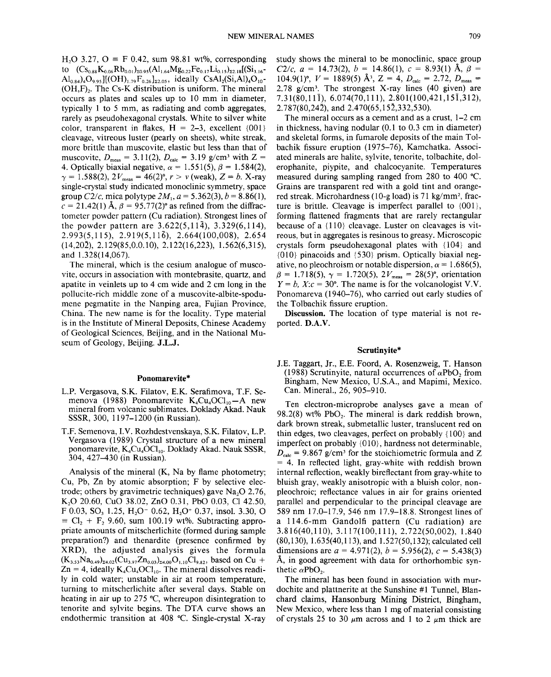H<sub>2</sub>O 3.27, O = F 0.42, sum 98.81 wt%, corresponding to  $(Cs_{0.88}K_{0.06}Rb_{0.01})_{z_{0.95}}(Al_{1.64}Mg_{0.22}Fe_{0.17}Li_{0.15})_{z_{2.18}}[(Si_{3.16} \text{Al}_{0.84}$ )<sub>4</sub>O<sub>9.95</sub>][(OH)<sub>1.79</sub>F<sub>0.26</sub>]<sub> $\text{z}_{2.05}$ </sub>, ideally CsAl<sub>2</sub>(Si,Al)<sub>4</sub>O<sub>10</sub>- $(OH, F)$ . The Cs-K distribution is uniform. The mineral occurs as plates and scales up to 10 mm in diameter, typically 1 to 5 mm, as radiating and comb aggregates, rarely as pseudohexagonal crystals. White to silver white color, transparent in flakes,  $H = 2-3$ , excellent  $\{001\}$ cleavage, vitreous luster (pearly on sheets), white streak, more brittle than muscovite, elastic but less than that of muscovite,  $D_{\text{meas}} = 3.11(2), D_{\text{calc}} = 3.19 \text{ g/cm}^3 \text{ with } Z =$ 4. Optically biaxial negative,  $\alpha = 1.551(5)$ ,  $\beta = 1.584(2)$  $\gamma = 1.588(2), 2V_{\text{meas}} = 46(2)^\circ, r > v \text{ (weak)}, Z = b. \text{ X-ray}$ single-crystal study indicated monoclinic symmetry, space group  $C2/c$ , mica polytype  $2M_1$ ,  $a = 5.362(3)$ ,  $b = 8.86(1)$ ,  $c = 21.42(1)$  Å,  $\beta = 95.77(2)$ ° as refined from the diffractometer powder pattern (Cu radiation). Strongest lines of the powder pattern are  $3.622(5,11\overline{4})$ ,  $3.329(6,114)$ , *2.993(5,115), 2.919(5,llb),* 2.664(100,008), 2.654  $(14,20\overline{2}), 2.129(85,0.0.10), 2.122(16,223), 1.562(6,315),$ and 1.328(14,067).

The mineral, which is the cesium analogue of muscovite, occurs in association with montebrasite, quartz, and apatite in veinlets up to 4 cm wide and 2 cm long in the pollucite-rich middle zone of a muscovite-albite-spodumene pegmatite in the Nanping area, Fujian Province, China. The new name is for the locality. Type material is in the Institute of Mineral Deposits, Chinese Academy of Geological Sciences, Beijing, and in the National Museum of Geology, Beijing. J.L.J.

#### Ponomarevite\*

- L.P. Vergasova, S.K. Filatov, E.K. Serafimova, T.P. Semenova (1988) Ponomarevite  $K_4Cu_4OCl_{10}-A$  new mineral from volcanic sublimates. Doklady Akad. Nauk SSSR, 300, 1197-1200 (in Russian).
- T.P. Semenova, I.V. Rozhdestvenskaya, S.K. Filatov, L.P. Vergasova (1989) Crystal structure of a new mineral ponomarevite,  $K_4Cu_4OCl_{10}$ . Doklady Akad. Nauk SSSR, 304, 427-430 (in Russian).

Analysis of the mineral (K, Na by flame photometry; *Cu,* Pb, Zn by atomic absorption; F by selective electrode; others by gravimetric techniques) gave  $Na<sub>2</sub>O$  2.76, K<sub>2</sub>O 20.60, CuO 38.02, ZnO 0.31, PbO 0.03, Cl 42.50, F 0.03, SO<sub>3</sub> 1.25, H<sub>2</sub>O<sup>-</sup> 0.62, H<sub>2</sub>O<sup>+</sup> 0.37, insol. 3.30, O  $= Cl_2 + F_2$  9.60, sum 100.19 wt%. Subtracting appropriate amounts of mitscherlichite (formed during sample preparation?) and thenardite (presence confirmed by XRD), the adjusted analysis gives the formula  $(K_{3.53}Na_{0.49})_{z4.02}(Cu_{3.97}Zn_{0.03})_{z4.00}O_{1.10}Cl_{9.82}$ , based on Cu +  $Zn = 4$ , ideally  $K_4Cu_4OCl_{10}$ . The mineral dissolves readily in cold water; unstable in air at room temperature, turning to mitscherlichite after several days. Stable on heating in air up to 275°C, whereupon disintegration to tenorite and sylvite begins. The DTA curve shows an endothermic transition at 408°C. Single-crystal X-ray

study shows the mineral to be monoclinic, space group *C2/c,*  $a = 14.73(2)$ ,  $b = 14.86(1)$ ,  $c = 8.93(1)$  Å,  $\beta =$ 104.9(1)°,  $V = 1889(5)$   $\AA$ <sup>3</sup>,  $Z = 4$ ,  $D_{\text{calc}} = 2.72$ ,  $D_{\text{meas}} =$ *2.78 glcm3.* The strongest X-ray lines (40 given) are 7.31(80,111),6.074(70,111),2.801(100,421,151,312),  $2.787(80.24\bar{2})$ , and  $2.470(65.15\bar{2},332.530)$ .

The mineral occurs as a cement and as a crust, 1-2 cm in thickness, having nodular (0.1 to 0.3 cm in diameter) and skeletal forms, in fumarole deposits of the main Tolbachik fissure eruption (1975-76), Kamchatka. Associated minerals are halite, sylvite, tenorite, tolbachite, dolerophanite, piypite, and chalcocyanite. Temperatures measured during sampling ranged from 280 to 400°C. Grains are transparent red with a gold tint and orangered streak. Microhardness (lO-g load) is 71 kg/mm2, fracture is brittle. Cleavage is imperfect parallel to {001}, forming flattened fragments that are rarely rectangular because of a  ${110}$  cleavage. Luster on cleavages is vitreous, but in aggregates is resinous to greasy. Microscopic crystals form pseudohexagonal plates with  ${104}$  and {01O} pinacoids and {530} prism. Optically biaxial negative, no pleochroism or notable dispersion,  $\alpha = 1.686(5)$ ,  $\beta = 1.718(5), \gamma = 1.720(5), 2V_{\text{meas}} = 28(5)^\circ$ , orientation  $Y = b$ ,  $X:c = 30^{\circ}$ . The name is for the volcanologist V.V. Ponomareva (1940-76), who carried out early studies of the Tolbachik fissure eruption.

Discussion. The location of type material is not reported. D.A.V.

### Scrutinyite\*

J.E. Taggart, Jr., E.E. Foord, A. Rosenzweig, T. Hanson (1988) Scrutinyite, natural occurrences of  $\alpha$ PbO<sub>2</sub> from Bingham, New Mexico, U.S.A., and Mapimi, Mexico. Can. Mineral., 26, 905-910.

Ten electron-microprobe analyses gave a mean of 98.2(8) wt% PbO<sub>2</sub>. The mineral is dark reddish brown, dark brown streak, submetallic luster, translucent red on thin edges, two cleavages, perfect on probably  $\{100\}$  and imperfect on probably {01O}, hardness not determinable,  $D_{\text{calc}}$  = 9.867 g/cm<sup>3</sup> for the stoichiometric formula and Z  $= 4$ . In reflected light, gray-white with reddish brown internal reflection, weakly bireflectant from gray-white to bluish gray, weakly anisotropic with a bluish color, nonpleochroic; reflectance values in air for grains oriented parallel and perpendicular to the principal cleavage are 589 nm 17.0-17.9,546 nm 17.9-18.8. Strongest lines of a 114.6-mm Gandolfi pattern (Cu radiation) are 3.816(40,110),3.117(100,111),2.722(50,002),1.840 (80,130), 1.635(40,113), and 1.527(50,132); calculated cell dimensions are  $a = 4.971(2)$ ,  $b = 5.956(2)$ ,  $c = 5.438(3)$ A, in good agreement with data for orthorhombic synthetic  $\alpha PbO_2$ .

The mineral has been found in association with murdochite and plattnerite at the Sunshine #1 Tunnel, Blanchard claims, Hansonburg Mining District, Bingham, New Mexico, where less than 1 mg of material consisting of crystals 25 to 30  $\mu$ m across and 1 to 2  $\mu$ m thick are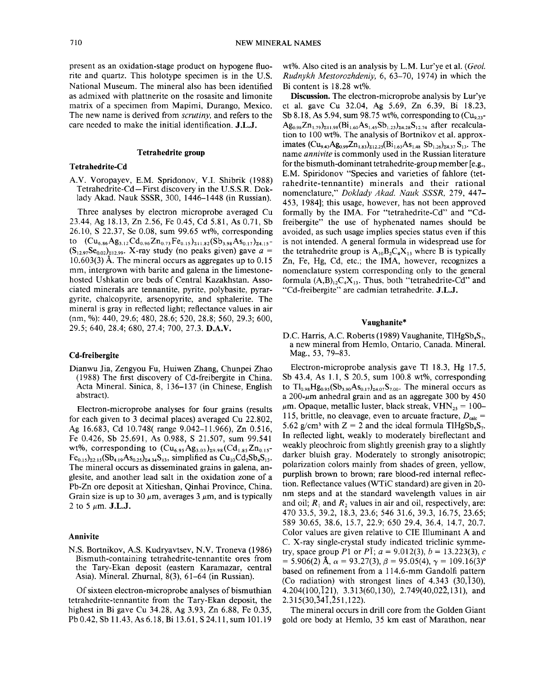present as an oxidation-stage product on hypogene fluorite and quartz. This holotype specimen is in the U.S. National Museum. The mineral also has been identified as admixed with plattnerite on the rosasite and limonite matrix of a specimen from Mapimi, Durango, Mexico. The new name is derived from *scrutiny,* and refers to the care needed to make the initial identification. J.L.J.

# Tetrahedrite **group**

# Tetrahedrite-Cd

AV. Voropayev, E.M. Spridonov, V.I. Shibrik (1988) Tetrahedrite-Cd-First discovery in the U.S.S.R. Doklady Akad. Nauk SSSR, 300, 1446-1448 (in Russian).

Three analyses by electron microprobe averaged Cu 23.44, Ag 18.13, Zn 2.56, Fe 0.45, Cd 5.81, As 0.71, Sb 26.10, S 22.37, Se 0.08, sum 99.65 wt%, corresponding to  $(Cu_{6.86}Ag_{3.12}Cd_{0.96}Zn_{0.73}Fe_{0.15})_{211.82}(Sb_{3.98}As_{0.17})_{24.15}$ - $(S_{12.97}Se_{0.02})_{212.99}$ . X-ray study (no peaks given) gave  $a =$ 10.603(3) A. The mineral occurs as aggregates up to 0.15 mm, intergrown with barite and galena in the limestonehosted Ushkatin ore beds of Central Kazakhstan. Associated minerals are tennantite, pyrite, polybasite, pyrargyrite, chalcopyrite, arsenopyrite, and sphalerite. The mineral is gray in reflected light; reflectance values in air (nm, %): 440, 29.6; 480, 28.6; 520, 28.8; 560, 29.3; 600, 29.5; 640, 28.4; 680, 27.4; 700, 27.3. D.A.V.

#### Cd-freibergite

Dianwu Jia, Zengyou Fu, Huiwen Zhang, Chunpei Zhao (1988) The first discovery of Cd-freibergite in China. Acta Mineral. Sinica, 8, 136-137 (in Chinese, English abstract).

Electron-microprobe analyses for four grains (results for each given to 3 decimal places) averaged Cu 22.802, Ag 16.683, Cd 10.748( range 9.042-11.966), Zn 0.516, Fe 0.426, Sb 25.691, As 0.988, S 21.507, sum 99.541 wt%, corresponding to  $(Cu_{6.95}Ag_{3.03})_{29.98}(Cd_{1.85}Zn_{0.15} Fe_{0.15}$ <sub>22.15</sub>(Sb<sub>4.19</sub>As<sub>0.25</sub>)<sub>24.34</sub>S<sub>13</sub>, simplified as Cu<sub>10</sub>Cd<sub>2</sub>Sb<sub>4</sub>S<sub>13</sub>. The mineral occurs as disseminated grains in galena, anglesite, and another lead salt in the oxidation zone of a Pb-Zn ore deposit at Xitieshan, Qinhai Province, China. Grain size is up to 30  $\mu$ m, averages 3  $\mu$ m, and is typically  $2$  to 5  $\mu$ m. **J.L.J.** 

# Annivite

N.S. Bortnikov, AS. Kudryavtsev, N.V. Troneva (1986) Bismuth-containing tetrahedrite-tennantite ores from the Tary-Ekan deposit (eastern Karamazar, central Asia). Mineral. Zhurnal, 8(3), 61-64 (in Russian).

Of sixteen electron-microprobe analyses of bismuthian tetrahedrite-tennantite from the Tary-Ekan deposit, the highest in Bi gave Cu 34.28, Ag 3.93, Zn 6.88, Fe 0.35, Pb 0.42, Sb 11.43, As 6.18, Bi 13.61, S 24.11, sum 101.19

wt%. Also cited is an analysis by L.M. Lur'ye et al. *(Geol. Rudnykh Mestorozhdeniy,* 6, 63-70, 1974) in which the Bi content is 18.28 wt%.

Discussion. The electron-microprobe analysis by Lur'ye et al. gave Cu 32.04, Ag 5.69, Zn 6.39, Bi 18.23, Sb 8.18, As 5.94, sum 98.75 wt%, corresponding to  $(Cu_{9.23} Ag_{0.98}Zn_{1.79}^{\text{}}\big)_{211.98}$ (Bi<sub>1.60</sub>As<sub>1.45</sub>Sb<sub>1.23</sub>)<sub>24.28</sub>S<sub>12.74</sub> after recalculation to 100 wt%. The analysis of Bortnikov et al. approximates  $(Cu_{9,43}Ag_{0,99}Zn_{1,83})_{\Sigma12.25}(Bi_{1,63}As_{1,48}Sb_{1,26})_{\Sigma4.37}S_{13}$ . The name *annivite* is commonly used in the Russian literature for the bismuth-dominant tetrahedrite-group member [e.g., E.M. Spiridonov "Species and varieties of fahlore (tetrahedrite-tennantite) minerals and their rational nomenclature," *Doklady Akad. Nauk SSSR,* 279, 447- 453, 1984]; this usage, however, has not been approved formally by the IMA. For "tetrahedrite-Cd" and "Cdfreibergite" the use of hyphenated names should be avoided, as such usage implies species status even if this is not intended. A general formula in widespread use for the tetrahedrite group is  $A_{10}B_2C_4X_{13}$  where B is typically Zn, Fe, Hg, Cd, etc.; the IMA, however, recognizes a nomenclature system corresponding only to the general formula  $(A,B)_{12}C_4X_{13}$ . Thus, both "tetrahedrite-Cd" and "Cd-freibergite" are cadmian tetrahedrite. J.L.J.

# Vaughanite\*

D.C. Harris, A.C. Roberts (1989) Vaughanite, TlHgSb<sub>4</sub>S<sub>7</sub>, a new mineral from Hemlo, Ontario, Canada. Mineral. Mag., 53, 79-83.

Electron-microprobe analysis gave Tl 18.3, Hg 17.5, Sb 43.4, As 1.1, S 20.5, sum 100.8 wt%, corresponding to  $Tl_{0.98}Hg_{0.95}(Sb_{3.90}As_{0.17})_{24.07}S_{7.00}$ . The mineral occurs as a  $200$ - $\mu$ m anhedral grain and as an aggregate 300 by 450  $\mu$ m. Opaque, metallic luster, black streak, VHN<sub>25</sub> = 100– 115, brittle, no cleavage, even to arcuate fracture,  $D_{\text{calc}}=$ 5.62 g/cm<sup>3</sup> with  $Z = 2$  and the ideal formula TlHgSb<sub>4</sub>S<sub>7</sub>. In reflected light, weakly to moderately bireflectant and weakly pleochroic from slightly greenish gray to a slightly darker bluish gray. Moderately to strongly anisotropic; polarization colors mainly from shades of green, yellow, purplish brown to brown; rare blood-red internal reflection. Reflectance values (WTiC standard) are given in 20 nm steps and at the standard wavelength values in air and oil;  $R_1$  and  $R_2$  values in air and oil, respectively, are: 47033.5,39.2, 18.3,23.6; 546 31.6, 39.3, 16.75,23.65; 589 30.65, 38.6, 15.7,22.9; 650 29.4, 36.4, 14.7,20.7. Color values are given relative to CIE Illuminant A and C. X-ray single-crystal study indicated triclinic symmetry, space group *P*1 or *P*<sup>1</sup>;  $a = 9.012(3)$ ,  $b = 13.223(3)$ , c  $= 5.906(2)$  Å,  $\alpha = 93.27(3)$ ,  $\beta = 95.05(4)$ ,  $\gamma = 109.16(3)$ ° based on refinement from a 114.6-mm Gandolfi pattern (Co radiation) with strongest lines of  $4.343$  (30,130), 4.204(100,121), 3.313(60,130), 2.749(40,022,131), and  $2.315(30,\overline{3}4\overline{1},\overline{2}51,122)$ .

The mineral occurs in drill core from the Golden Giant gold ore body at Hemlo, 35 km east of Marathon, near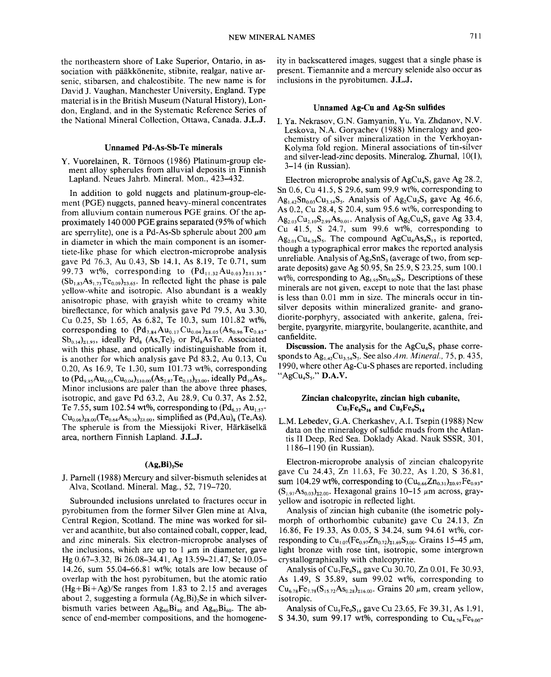the northeastern shore of Lake Superior, Ontario, in association with pääkkönenite, stibnite, realgar, native arsenic, stibarsen, and chalcostibite. The new name is for David J. Vaughan, Manchester University, England. Type material is in the British Museum (Natural History), London, England, and in the Systematic Reference Series of the National Mineral Collection, Ottawa, Canada. J.L.J.

# Unnamed Pd-As-Sb-Te minerals

Y. Vuorelainen, R. Törnoos (1986) Platinum-group element alloy spherules from alluvial deposits in Finnish Lapland. Neues Jahrb. Mineral. Mon., 423-432.

In addition to gold nuggets and platinum-group-element (PGE) nuggets, panned heavy-mineral concentrates from alluvium contain numerous POE grains. Of the approximately 140000 POE grains separated (95% of which are sperrylite), one is a Pd-As-Sb spherule about 200  $\mu$ m in diameter in which the main component is an isomertiete-like phase for which electron-microprobe analysis gave Pd 76.3, Au 0.43, Sb 14.1, As 8.19, Te 0.71, sum 99.73 wt%, corresponding to  $( Pd_{11,32}Au_{0.03})_{211,35}$ - $(Sb_{1.83}As_{1.73}Te_{0.09})_{23.65}$ . In reflected light the phase is pale yellow-white and isotropic. Also abundant is a weakly anisotropic phase, with grayish white to creamy white bireflectance, for which analysis gave Pd 79.5, Au 3.30, Cu 0.25, Sb 1.65, As 6.82, Te 10.3, sum 101.82 wt%, corresponding to  $(Pd_{7.84}Au_{0.17}Cu_{0.04})_{28.05}(As_{0.96}Te_{0.85}$ - $Sb_{0.14}$ <sub>21.95</sub>, ideally Pd<sub>8</sub> (As,Te)<sub>2</sub> or Pd<sub>8</sub>AsTe. Associated with this phase, and optically indistinguishable from it, is another for which analysis gave Pd 83.2, Au 0.13, Cu 0.20, As 16.9, Te 1.30, sum 101.73 wt%, corresponding to  $(Pd_{9.95}Au_{0.01}Cu_{0.04})_{210.00}(As_{2.87}Te_{0.13})_{23.00}$ , ideally  $Pd_{10}As_{3}$ . Minor inclusions are paler than the above three phases, isotropic, and gave Pd 63.2, Au 28.9, Cu 0.37, As 2.52, Te 7.55, sum 102.54 wt%, corresponding to  $(Pd_{6,37}Au_{1.57} Cu_{0.06}$ <sub>28.00</sub>(Te<sub>0.64</sub>As<sub>0.36</sub>)<sub>21.00</sub>, simplified as (Pd,Au)<sub>8</sub> (Te,As). The spherule is from the Miessijoki River, Härkäselkä area, northern Finnish Lapland. J.L.J.

### $(Ag, Bi)$ <sub>2</sub>Se

J. Parnell (1988) Mercury and silver-bismuth selenides at Alva, Scotland. Mineral. Mag., 52, 719-720.

Subrounded inclusions unrelated to fractures occur in pyrobitumen from the former Silver Glen mine at Alva, Central Region, Scotland. The mine was worked for silver and acanthite, but also contained cobalt, copper, lead, and zinc minerals. Six electron-microprobe analyses of the inclusions, which are up to 1  $\mu$ m in diameter, gave Hg 0.67-3.32, Bi 26.08-34.41, Ag 13.59-21.47, Se 10.05- 14.26, sum 55.04-66.81 wt%; totals are low because of overlap with the host pyrobitumen, but the atomic ratio  $(Hg+Bi+Ag)/Se$  ranges from 1.83 to 2.15 and averages about 2, suggesting a formula  $(Ag, Bi)$ . Se in which silverbismuth varies between  $Ag_{60}Bi_{40}$  and  $Ag_{40}Bi_{60}$ . The absence of end-member compositions, and the homogeneity in backscattered images, suggest that a single phase is present. Tiemannite and a mercury selenide also occur as inclusions in the pyrobitumen. J.L.J.

### Unnamed Ag-Cu and Ag-Sn sulfides

I. Ya. Nekrasov, G.N. Oamyanin, Yu. Va. Zhdanov, N.V. Leskova, N.A Goryachev (1988) Mineralogy and geochemistry of silver mineralization in the Verkhoyan-Kolyma fold region. Mineral associations of tin-silver and silver-lead-zinc deposits. Mineralog. Zhurnal, 10(1), 3-14 (in Russian).

Electron microprobe analysis of  $AgCu<sub>4</sub>S<sub>5</sub>$  gave Ag 28.2, Sn 0.6, Cu 41.5, S 29.6, sum 99.9 wt%, corresponding to  $Ag<sub>1.42</sub>Sn<sub>0.03</sub>Cu<sub>3.54</sub>S<sub>5</sub>$ . Analysis of Ag<sub>2</sub>Cu<sub>2</sub>S<sub>3</sub> gave Ag 46.6, As 0.2, Cu 28.4, S 20.4, sum 95.6 wt%, corresponding to  $Ag_{2.03}Cu_{2.10}S_{2.99}As_{0.01}$ . Analysis of Ag<sub>2</sub>Cu<sub>4</sub>S<sub>5</sub> gave Ag 33.4, Cu 41.5, S 24.7, sum 99.6 wt%, corresponding to  $Ag_{2.01}Cu_{4.24}S_5$ . The compound  $AgCu_8As_4S_{13}$  is reported, though a typographical error makes the reported analysis unreliable. Analysis of  $Ag_2SnS_3$  (average of two, from separate deposits) gave Ag 50.95, Sn 25.9, S 23.25, sum 100.1 wt%, corresponding to  $Ag<sub>1.95</sub>Sn<sub>0.90</sub>S<sub>3</sub>$ . Descriptions of these minerals are not given, except to note that the last phase is less than 0.01 mm in size. The minerals occur in tinsilver deposits within mineralized granite- and granodiorite-porphyry, associated with ankerite, galena, freibergite, pyargyrite, miargyrite, boulangerite, acanthite, and canfieldite.

**Discussion.** The analysis for the  $AgCu<sub>4</sub>S<sub>5</sub>$  phase corresponds to Ag<sub>1.42</sub>Cu<sub>3.54</sub>S<sub>5</sub>. See also *Am. Mineral.*, 75, p. 435, 1990, where other Ag-Cu-S phases are reported, including " $AgCu<sub>4</sub>S<sub>5</sub>$ ." D.A.V.

# Zincian chalcopyrite, zincian high cubanite,  $Cu<sub>7</sub>Fe<sub>8</sub>S<sub>16</sub>$  and  $Cu<sub>5</sub>Fe<sub>9</sub>S<sub>14</sub>$

L.M. Lebedev, G.A. Cherkashev, A.I. Tsepin (1988) New data on the mineralogy of sulfide muds from the Atlantis II Deep, Red Sea. Doklady Akad. Nauk SSSR, 301, 1186-1190 (in Russian).

Electron-microprobe analysis of zincian chalcopyrite gave Cu 24.43, Zn 11.63, Fe 30.22, As 1.20, S 36.81, sum 104.29 wt%, corresponding to  $(Cu_{0.66}Zn_{0.31})_{20.97}Fe_{0.93}$ - $(S_{1.97}As_{0.03})_{\Sigma2.00}$ . Hexagonal grains 10-15  $\mu$ m across, grayyellow and isotropic in reflected light.

Analysis of zincian high cubanite (the isometric polymorph of orthorhombic cubanite) gave Cu 24.13, Zn 16.86, Fe 19.33, As 0.05, S 34.24, sum 94.61 wt%, corresponding to  $Cu_{1.07}(Fe_{0.97}Zn_{0.72})_{\Sigma1.69}S_{3.00}$ . Grains 15-45  $\mu$ m, light bronze with rose tint, isotropic, some intergrown crystallographically with chalcopyrite.

Analysis of  $Cu<sub>2</sub>Fe<sub>8</sub>S<sub>16</sub>$  gave Cu 30.70, Zn 0.01, Fe 30.93, As 1.49, S 35.89, sum 99.02 wt%, corresponding to  $Cu_{6,78}Fe_{7,78}(S_{15,72}As_{0,28})_{216,00}$ . Grains 20  $\mu$ m, cream yellow, isotropic.

Analysis of  $Cu<sub>5</sub>Fe<sub>9</sub>S<sub>14</sub>$  gave Cu 23.65, Fe 39.31, As 1.91, S 34.30, sum 99.17 wt%, corresponding to  $Cu<sub>4.76</sub>Fe<sub>9.00</sub>$ -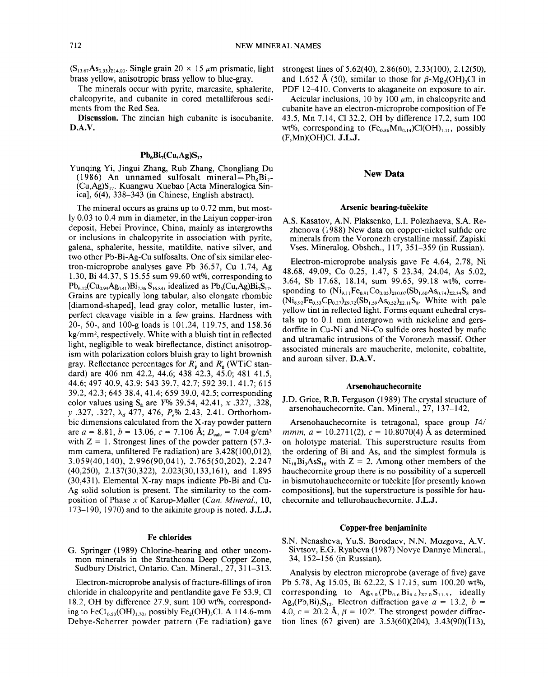$(S<sub>13.67</sub>As<sub>0.33</sub>)<sub>214.00</sub>$ . Single grain 20  $\times$  15  $\mu$ m prismatic, light brass yellow, anisotropic brass yellow to blue-gray.

The minerals occur with pyrite, marcasite, sphalerite, chalcopyrite, and cubanite in cored metalliferous sediments from the Red Sea.

Discussion. The zincian high cubanite is isocubanite. D.A.V.

# $Pb_6Bi_7(Cu,Ag)S_{17}$

Yunqing Yi, Jingui Zhang, Rub Zhang, Chongliang Du (1986) An unnamed sulfosalt mineral-Pb<sub>6</sub>Bi<sub>7</sub>-(Cu,Ag)S17' Kuangwu Xuebao [Acta Mineralogica Sinica], 6(4), 338-343 (in Chinese, English abstract).

The mineral occurs as grains up to 0.72 mm, but mostly 0.03 to 0.4 mm in diameter, in the Laiyun copper-iron deposit, Hebei Province, China, mainly as intergrowths or inclusions in chalcopyrite in association with pyrite, galena, sphalerite, hessite, matildite, native silver, and two other Pb-Bi-Ag-Cu sulfosalts. One of six similar electron-microprobe analyses gave Pb 36.57, Cu 1.74, Ag 1.30, Bi 44.37, S 15.55 sum 99.60 wt%, corresponding to  $Pb_{6,12}(Cu_{0.94}Ag_{0.41})Bi_{7.36}S_{16.84}$ , idealized as  $Pb_{6}(Cu,Ag)Bi_{7}S_{17}$ . Grains are typically long tabular, also elongate rhombic [diamond-shaped], lead gray color, metallic luster, imperfect cleavage visible in a few grains. Hardness with 20-,50-, and 100-g loads is 101.24, 119.75, and 158.36 kg/mm2, respectively. White with a bluish tint in reflected light, negligible to weak bireflectance, distinct anisotropism with polarization colors bluish gray to light brownish gray. Reflectance percentages for *R~* and *R~* (WTiC standard) are 406 nm 42.2, 44.6; 438 42.3, 45.0; 481 41.5, 44.6; 497 40.9, 43.9; 543 39.7, 42.7; 592 39.1, 41.7; 615 39.2,42.3; 645 38.4, 41.4; 65939.0,42.5; corresponding color values using  $S_E$  are *Y*% 39.54, 42.41, *x* .327, .328, *y* .327, .327,  $\lambda_d$  477, 476,  $P_e$ % 2.43, 2.41. Orthorhombic dimensions calculated from the X-ray powder pattern are  $a = 8.81$ ,  $b = 13.06$ ,  $c = 7.106$  Å;  $D_{\text{calc}} = 7.04$  g/cm<sup>3</sup> with  $Z = 1$ . Strongest lines of the powder pattern (57.3mm camera, unfiltered Fe radiation) are 3.428(100,012), 3.059(40,140),2.996(90,041),2.765(50,202),2.247 (40,250), 2.137(30,322), 2.023(30,133,161), and 1.895 (30,431). Elemental X-ray maps indicate Pb-Bi and Cu-Ag solid solution is present. The similarity to the composition of Phase *x* of Karup-M0ller *(Can. Mineral., 10,* 173-190, 1970) and to the aikinite group is noted. J.L.J.

#### Fe chlorides

G. Springer (1989) Chlorine-bearing and other uncommon minerals in the Strathcona Deep Copper Zone, Sudbury District, Ontario. Can. Minera1., 27, 311-313.

Electron-microprobe analysis of fracture-fillings of iron chloride in chalcopyrite and pentlandite gave Fe 53.9, Cl 18.2, OH by difference 27.9, sum 100 wt%, corresponding to FeCl<sub>0.53</sub>(OH)<sub>1.70</sub>, possibly Fe<sub>2</sub>(OH)<sub>3</sub>Cl. A 114.6-mm Debye-Scherrer powder pattern (Fe radiation) gave strongest lines of 5.62(40), 2.86(60), 2.33(100), 2.12(50), and 1.652 Å (50), similar to those for  $\beta$ -Mg<sub>2</sub>(OH)<sub>3</sub>Cl in PDF 12-410. Converts to akaganeite on exposure to air.

Acicular inclusions, 10 by 100  $\mu$ m, in chalcopyrite and cubanite have an electron-microprobe composition of Fe 43.5, Mn 7.14, Cl 32.2, OH by difference 17.2, sum 100 wt%, corresponding to  $(Fe<sub>0.86</sub>Mn<sub>0.14</sub>)Cl(OH)<sub>L,11</sub>$ , possibly (F,Mn)(OH)C1. J.L.J.

## New Data

#### Arsenic bearing-tučekite

AS. Kasatov, A.N. Plaksenko, L.L Polezhaeva, S.A Rezhenova (1988) New data on copper-nickel sulfide ore minerals from the Voronezh crystalline massif. Zapiski Vses. Mineralog. Obshch., 117, 351-359 (in Russian).

Electron-microprobe analysis gave Fe 4.64, 2.78, Ni 48.68, 49.09, Co 0.25, 1.47, S 23.34, 24.04, As 5.02, 3.64, Sb 17.68, 18.14, sum 99.65, 99.18 wt%, corresponding to  $(Ni_{9,11}Fe_{0.91}Co_{0.05})_{\Sigma10.07}(Sb_{1.60}As_{0.74})_{\Sigma2.34}S_8$  and  $(Ni_{8.92}Fe_{0.53}Cp_{0.27})_{29.72}(Sb_{1.59}As_{0.52})_{22.11}S_8$ . White with pale yellow tint in reflected light. Forms equant euhedral crystals up to 0.1 mm intergrown with nickeline and gersdorffite in Cu-Ni and Ni-Co sulfide ores hosted by mafic and ultramafic intrusions of the Voronezh massif. Other associated minerals are maucherite, melonite, cobaltite, and auroan silver. D.A.V.

#### Arsenohauchecornite

J.D. Grice, R.B. Ferguson (1989) The crystal structure of arsenohauchecornite. Can. Minera1., 27, 137-142.

Arsenohauchecornite is tetragonal, space group *14/ mmm,*  $a = 10.2711(2)$ ,  $c = 10.8070(4)$  Å as determined on holotype materia1. This superstructure results from the ordering of Bi and As, and the simplest formula is  $Ni_{18}Bi_3AsS_{16}$  with  $Z = 2$ . Among other members of the hauchecornite group there is no possibility of a supercell in bismutohauchecornite or tučekite [for presently known] compositions], but the superstructure is possible for hauchecornite and tellurohauchecornite. J.L.J.

# Copper-free benjaminite

S.N. Nenasheva, YU.S. Borodaev, N.N. Mozgova, AV. Sivtsov, E.G. Ryabeva (1987) Novye Dannye Minera1., 34, 152-156 (in Russian).

Analysis by electron microprobe (average of five) gave Pb 5.78, Ag 15.05, Bi 62.22, S 17.15, sum 100.20 wt%, corresponding to  $\text{Ag}_{3.0}(\text{Pb}_{0.6} \text{Bi}_{6.4})_{\text{z}7.0} \text{S}_{11.5}$ , ideally Ag<sub>3</sub>(Pb,Bi)<sub>7</sub>S<sub>12</sub>. Electron diffraction gave  $a = 13.2$ ,  $b =$ 4.0,  $c = 20.2$  Å,  $\beta = 102$ °. The strongest powder diffraction lines (67 given) are  $3.53(60)(204)$ ,  $3.43(90)(\overline{1}13)$ ,